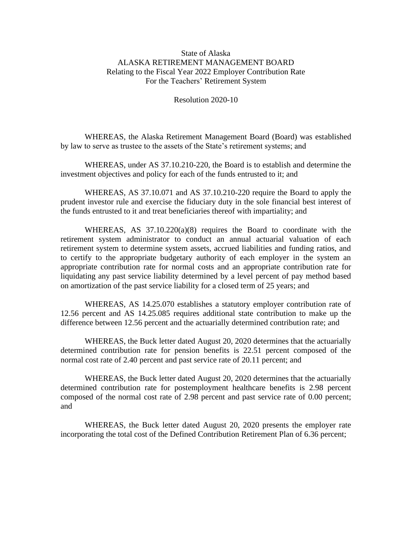## State of Alaska ALASKA RETIREMENT MANAGEMENT BOARD Relating to the Fiscal Year 2022 Employer Contribution Rate For the Teachers' Retirement System

Resolution 2020-10

WHEREAS, the Alaska Retirement Management Board (Board) was established by law to serve as trustee to the assets of the State's retirement systems; and

WHEREAS, under AS 37.10.210-220, the Board is to establish and determine the investment objectives and policy for each of the funds entrusted to it; and

WHEREAS, AS 37.10.071 and AS 37.10.210-220 require the Board to apply the prudent investor rule and exercise the fiduciary duty in the sole financial best interest of the funds entrusted to it and treat beneficiaries thereof with impartiality; and

WHEREAS, AS  $37.10.220(a)(8)$  requires the Board to coordinate with the retirement system administrator to conduct an annual actuarial valuation of each retirement system to determine system assets, accrued liabilities and funding ratios, and to certify to the appropriate budgetary authority of each employer in the system an appropriate contribution rate for normal costs and an appropriate contribution rate for liquidating any past service liability determined by a level percent of pay method based on amortization of the past service liability for a closed term of 25 years; and

WHEREAS, AS 14.25.070 establishes a statutory employer contribution rate of 12.56 percent and AS 14.25.085 requires additional state contribution to make up the difference between 12.56 percent and the actuarially determined contribution rate; and

WHEREAS, the Buck letter dated August 20, 2020 determines that the actuarially determined contribution rate for pension benefits is 22.51 percent composed of the normal cost rate of 2.40 percent and past service rate of 20.11 percent; and

WHEREAS, the Buck letter dated August 20, 2020 determines that the actuarially determined contribution rate for postemployment healthcare benefits is 2.98 percent composed of the normal cost rate of 2.98 percent and past service rate of 0.00 percent; and

WHEREAS, the Buck letter dated August 20, 2020 presents the employer rate incorporating the total cost of the Defined Contribution Retirement Plan of 6.36 percent;